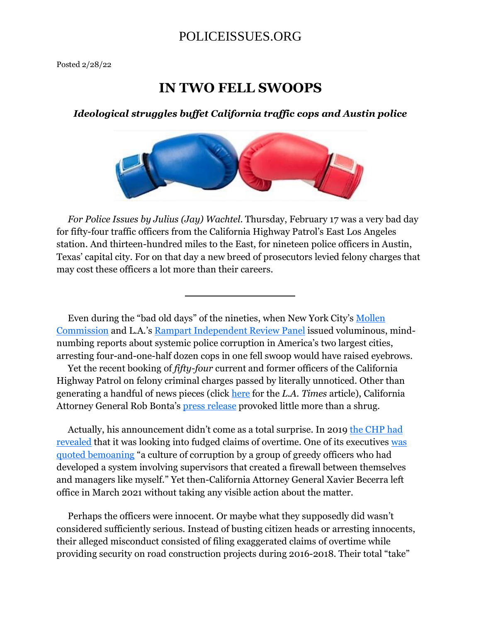### **IN TWO FELL SWOOPS**

#### *Ideological struggles buffet California traffic cops and Austin police*



 *For Police Issues by Julius (Jay) Wachtel*. Thursday, February 17 was a very bad day for fifty-four traffic officers from the California Highway Patrol's East Los Angeles station. And thirteen-hundred miles to the East, for nineteen police officers in Austin, Texas' capital city. For on that day a new breed of prosecutors levied felony charges that may cost these officers a lot more than their careers.

 Even during the "bad old days" of the nineties, when New York City's Mollen Commission and L.A.'s Rampart Independent Review Panel issued voluminous, mindnumbing reports about systemic police corruption in America's two largest cities, arresting four-and-one-half dozen cops in one fell swoop would have raised eyebrows.

 Yet the recent booking of *fifty-four* current and former officers of the California Highway Patrol on felony criminal charges passed by literally unnoticed. Other than generating a handful of news pieces (click here for the *L.A. Times* article), California Attorney General Rob Bonta's press release provoked little more than a shrug.

Actually, his announcement didn't come as a total surprise. In 2019 the CHP had revealed that it was looking into fudged claims of overtime. One of its executives was quoted bemoaning "a culture of corruption by a group of greedy officers who had developed a system involving supervisors that created a firewall between themselves and managers like myself." Yet then-California Attorney General Xavier Becerra left office in March 2021 without taking any visible action about the matter.

 Perhaps the officers were innocent. Or maybe what they supposedly did wasn't considered sufficiently serious. Instead of busting citizen heads or arresting innocents, their alleged misconduct consisted of filing exaggerated claims of overtime while providing security on road construction projects during 2016-2018. Their total "take"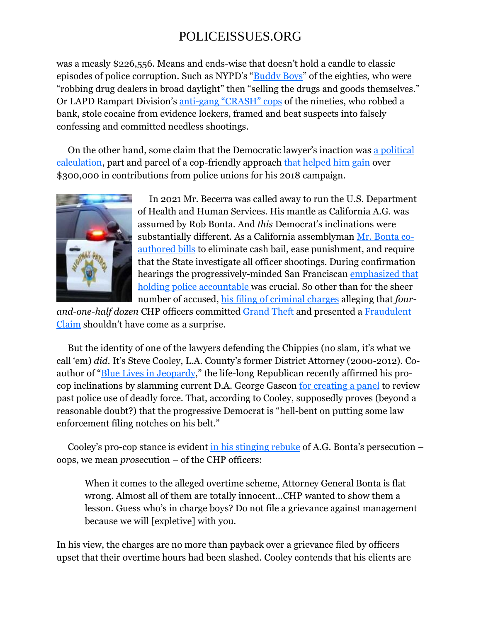was a measly \$226,556. Means and ends-wise that doesn't hold a candle to classic episodes of police corruption. Such as NYPD's "Buddy Boys" of the eighties, who were "robbing drug dealers in broad daylight" then "selling the drugs and goods themselves." Or LAPD Rampart Division's anti-gang "CRASH" cops of the nineties, who robbed a bank, stole cocaine from evidence lockers, framed and beat suspects into falsely confessing and committed needless shootings.

 On the other hand, some claim that the Democratic lawyer's inaction was a political calculation, part and parcel of a cop-friendly approach that helped him gain over \$300,000 in contributions from police unions for his 2018 campaign.



 In 2021 Mr. Becerra was called away to run the U.S. Department of Health and Human Services. His mantle as California A.G. was assumed by Rob Bonta. And *this* Democrat's inclinations were substantially different. As a California assemblyman Mr. Bonta coauthored bills to eliminate cash bail, ease punishment, and require that the State investigate all officer shootings. During confirmation hearings the progressively-minded San Franciscan emphasized that holding police accountable was crucial. So other than for the sheer number of accused, his filing of criminal charges alleging that *four-*

*and-one-half dozen* CHP officers committed Grand Theft and presented a Fraudulent Claim shouldn't have come as a surprise.

 But the identity of one of the lawyers defending the Chippies (no slam, it's what we call 'em) *did*. It's Steve Cooley, L.A. County's former District Attorney (2000-2012). Coauthor of "Blue Lives in Jeopardy," the life-long Republican recently affirmed his procop inclinations by slamming current D.A. George Gascon for creating a panel to review past police use of deadly force. That, according to Cooley, supposedly proves (beyond a reasonable doubt?) that the progressive Democrat is "hell-bent on putting some law enforcement filing notches on his belt."

Cooley's pro-cop stance is evident in his stinging rebuke of A.G. Bonta's persecution  $$ oops, we mean *pro*secution – of the CHP officers:

When it comes to the alleged overtime scheme, Attorney General Bonta is flat wrong. Almost all of them are totally innocent...CHP wanted to show them a lesson. Guess who's in charge boys? Do not file a grievance against management because we will [expletive] with you.

In his view, the charges are no more than payback over a grievance filed by officers upset that their overtime hours had been slashed. Cooley contends that his clients are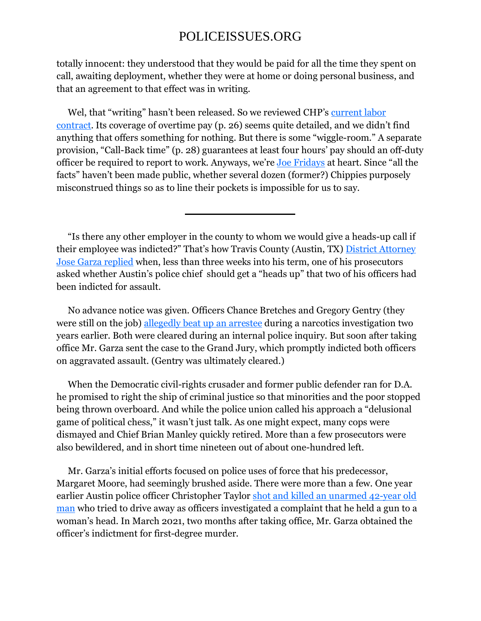totally innocent: they understood that they would be paid for all the time they spent on call, awaiting deployment, whether they were at home or doing personal business, and that an agreement to that effect was in writing.

 Wel, that "writing" hasn't been released. So we reviewed CHP's current labor contract. Its coverage of overtime pay (p. 26) seems quite detailed, and we didn't find anything that offers something for nothing. But there is some "wiggle-room." A separate provision, "Call-Back time" (p. 28) guarantees at least four hours' pay should an off-duty officer be required to report to work. Anyways, we're Joe Fridays at heart. Since "all the facts" haven't been made public, whether several dozen (former?) Chippies purposely misconstrued things so as to line their pockets is impossible for us to say.

 "Is there any other employer in the county to whom we would give a heads-up call if their employee was indicted?" That's how Travis County (Austin, TX) District Attorney Jose Garza replied when, less than three weeks into his term, one of his prosecutors asked whether Austin's police chief should get a "heads up" that two of his officers had been indicted for assault.

 No advance notice was given. Officers Chance Bretches and Gregory Gentry (they were still on the job) allegedly beat up an arrestee during a narcotics investigation two years earlier. Both were cleared during an internal police inquiry. But soon after taking office Mr. Garza sent the case to the Grand Jury, which promptly indicted both officers on aggravated assault. (Gentry was ultimately cleared.)

 When the Democratic civil-rights crusader and former public defender ran for D.A. he promised to right the ship of criminal justice so that minorities and the poor stopped being thrown overboard. And while the police union called his approach a "delusional game of political chess," it wasn't just talk. As one might expect, many cops were dismayed and Chief Brian Manley quickly retired. More than a few prosecutors were also bewildered, and in short time nineteen out of about one-hundred left.

 Mr. Garza's initial efforts focused on police uses of force that his predecessor, Margaret Moore, had seemingly brushed aside. There were more than a few. One year earlier Austin police officer Christopher Taylor shot and killed an unarmed 42-year old man who tried to drive away as officers investigated a complaint that he held a gun to a woman's head. In March 2021, two months after taking office, Mr. Garza obtained the officer's indictment for first-degree murder.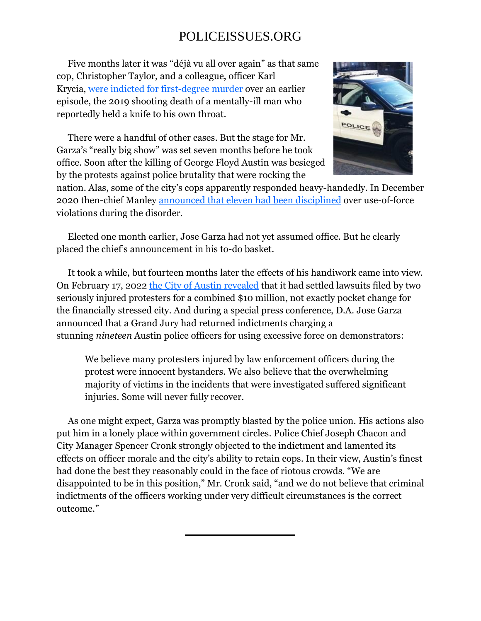Five months later it was "déjà vu all over again" as that same cop, Christopher Taylor, and a colleague, officer Karl Krycia, were indicted for first-degree murder over an earlier episode, the 2019 shooting death of a mentally-ill man who reportedly held a knife to his own throat.

 There were a handful of other cases. But the stage for Mr. Garza's "really big show" was set seven months before he took office. Soon after the killing of George Floyd Austin was besieged by the protests against police brutality that were rocking the



nation. Alas, some of the city's cops apparently responded heavy-handedly. In December 2020 then-chief Manley announced that eleven had been disciplined over use-of-force violations during the disorder.

 Elected one month earlier, Jose Garza had not yet assumed office. But he clearly placed the chief's announcement in his to-do basket.

 It took a while, but fourteen months later the effects of his handiwork came into view. On February 17, 2022 the City of Austin revealed that it had settled lawsuits filed by two seriously injured protesters for a combined \$10 million, not exactly pocket change for the financially stressed city. And during a special press conference, D.A. Jose Garza announced that a Grand Jury had returned indictments charging a stunning *nineteen* Austin police officers for using excessive force on demonstrators:

We believe many protesters injured by law enforcement officers during the protest were innocent bystanders. We also believe that the overwhelming majority of victims in the incidents that were investigated suffered significant injuries. Some will never fully recover.

 As one might expect, Garza was promptly blasted by the police union. His actions also put him in a lonely place within government circles. Police Chief Joseph Chacon and City Manager Spencer Cronk strongly objected to the indictment and lamented its effects on officer morale and the city's ability to retain cops. In their view, Austin's finest had done the best they reasonably could in the face of riotous crowds. "We are disappointed to be in this position," Mr. Cronk said, "and we do not believe that criminal indictments of the officers working under very difficult circumstances is the correct outcome."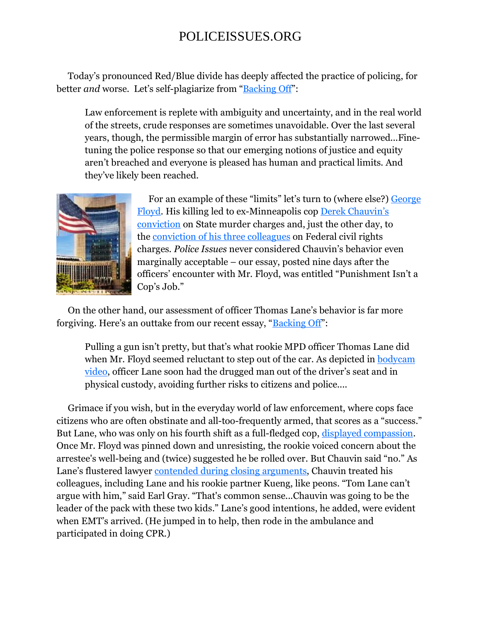Today's pronounced Red/Blue divide has deeply affected the practice of policing, for better *and* worse. Let's self-plagiarize from "Backing Off":

Law enforcement is replete with ambiguity and uncertainty, and in the real world of the streets, crude responses are sometimes unavoidable. Over the last several years, though, the permissible margin of error has substantially narrowed...Finetuning the police response so that our emerging notions of justice and equity aren't breached and everyone is pleased has human and practical limits. And they've likely been reached.



 For an example of these "limits" let's turn to (where else?) George Floyd. His killing led to ex-Minneapolis cop Derek Chauvin's conviction on State murder charges and, just the other day, to the conviction of his three colleagues on Federal civil rights charges. *Police Issues* never considered Chauvin's behavior even marginally acceptable – our essay, posted nine days after the officers' encounter with Mr. Floyd, was entitled "Punishment Isn't a Cop's Job."

 On the other hand, our assessment of officer Thomas Lane's behavior is far more forgiving. Here's an outtake from our recent essay, "Backing Off":

Pulling a gun isn't pretty, but that's what rookie MPD officer Thomas Lane did when Mr. Floyd seemed reluctant to step out of the car. As depicted in **bodycam** video, officer Lane soon had the drugged man out of the driver's seat and in physical custody, avoiding further risks to citizens and police....

 Grimace if you wish, but in the everyday world of law enforcement, where cops face citizens who are often obstinate and all-too-frequently armed, that scores as a "success." But Lane, who was only on his fourth shift as a full-fledged cop, displayed compassion. Once Mr. Floyd was pinned down and unresisting, the rookie voiced concern about the arrestee's well-being and (twice) suggested he be rolled over. But Chauvin said "no." As Lane's flustered lawyer contended during closing arguments, Chauvin treated his colleagues, including Lane and his rookie partner Kueng, like peons. "Tom Lane can't argue with him," said Earl Gray. "That's common sense...Chauvin was going to be the leader of the pack with these two kids." Lane's good intentions, he added, were evident when EMT's arrived. (He jumped in to help, then rode in the ambulance and participated in doing CPR.)